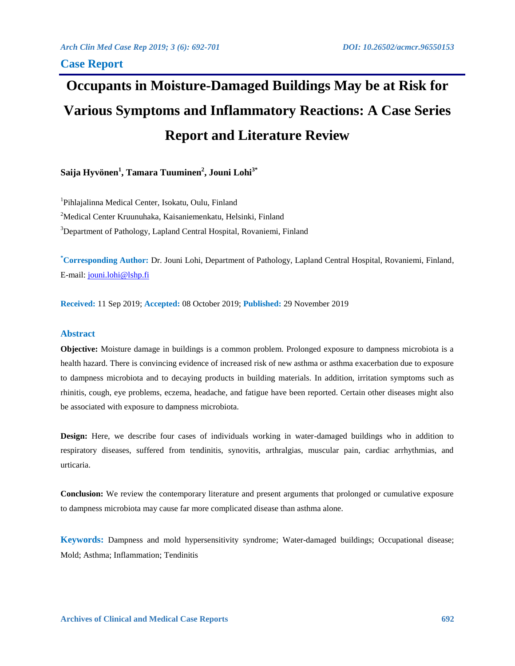# **Occupants in Moisture-Damaged Buildings May be at Risk for Various Symptoms and Inflammatory Reactions: A Case Series Report and Literature Review**

**Saija Hyvönen<sup>1</sup> , Tamara Tuuminen<sup>2</sup> , Jouni Lohi3\***

<sup>1</sup>Pihlajalinna Medical Center, Isokatu, Oulu, Finland <sup>2</sup>Medical Center Kruunuhaka, Kaisaniemenkatu, Helsinki, Finland <sup>3</sup>Department of Pathology, Lapland Central Hospital, Rovaniemi, Finland

**\*Corresponding Author:** Dr. Jouni Lohi, Department of Pathology, Lapland Central Hospital, Rovaniemi, Finland, E-mail: [jouni.lohi@lshp.fi](mailto:jouni.lohi@lshp.fi)

**Received:** 11 Sep 2019; **Accepted:** 08 October 2019; **Published:** 29 November 2019

# **Abstract**

**Objective:** Moisture damage in buildings is a common problem. Prolonged exposure to dampness microbiota is a health hazard. There is convincing evidence of increased risk of new asthma or asthma exacerbation due to exposure to dampness microbiota and to decaying products in building materials. In addition, irritation symptoms such as rhinitis, cough, eye problems, eczema, headache, and fatigue have been reported. Certain other diseases might also be associated with exposure to dampness microbiota.

**Design:** Here, we describe four cases of individuals working in water-damaged buildings who in addition to respiratory diseases, suffered from tendinitis, synovitis, arthralgias, muscular pain, cardiac arrhythmias, and urticaria.

**Conclusion:** We review the contemporary literature and present arguments that prolonged or cumulative exposure to dampness microbiota may cause far more complicated disease than asthma alone.

**Keywords:** Dampness and mold hypersensitivity syndrome; Water-damaged buildings; Occupational disease; Mold; Asthma; Inflammation; Tendinitis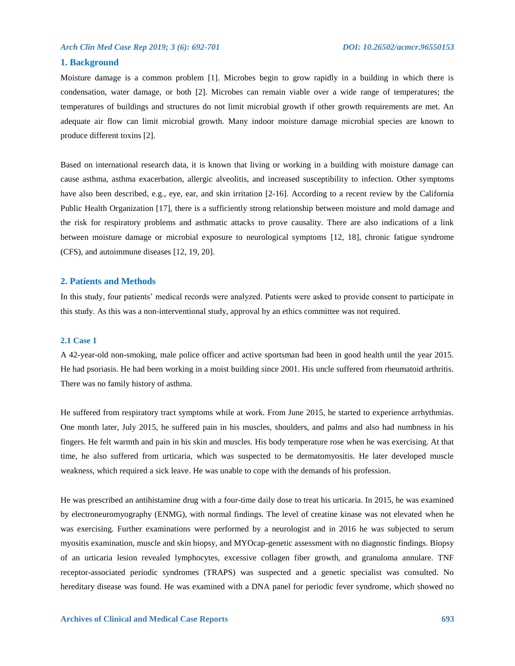# **1. Background**

Moisture damage is a common problem [1]. Microbes begin to grow rapidly in a building in which there is condensation, water damage, or both [2]. Microbes can remain viable over a wide range of temperatures; the temperatures of buildings and structures do not limit microbial growth if other growth requirements are met. An adequate air flow can limit microbial growth. Many indoor moisture damage microbial species are known to produce different toxins [2].

Based on international research data, it is known that living or working in a building with moisture damage can cause asthma, asthma exacerbation, allergic alveolitis, and increased susceptibility to infection. Other symptoms have also been described, e.g., eye, ear, and skin irritation [2-16]. According to a recent review by the California Public Health Organization [17], there is a sufficiently strong relationship between moisture and mold damage and the risk for respiratory problems and asthmatic attacks to prove causality. There are also indications of a link between moisture damage or microbial exposure to neurological symptoms [12, 18], chronic fatigue syndrome (CFS), and autoimmune diseases [12, 19, 20].

### **2. Patients and Methods**

In this study, four patients' medical records were analyzed. Patients were asked to provide consent to participate in this study. As this was a non-interventional study, approval by an ethics committee was not required.

### **2.1 Case 1**

A 42-year-old non-smoking, male police officer and active sportsman had been in good health until the year 2015. He had psoriasis. He had been working in a moist building since 2001. His uncle suffered from rheumatoid arthritis. There was no family history of asthma.

He suffered from respiratory tract symptoms while at work. From June 2015, he started to experience arrhythmias. One month later, July 2015, he suffered pain in his muscles, shoulders, and palms and also had numbness in his fingers. He felt warmth and pain in his skin and muscles. His body temperature rose when he was exercising. At that time, he also suffered from urticaria, which was suspected to be dermatomyositis. He later developed muscle weakness, which required a sick leave. He was unable to cope with the demands of his profession.

He was prescribed an antihistamine drug with a four-time daily dose to treat his urticaria. In 2015, he was examined by electroneuromyography (ENMG), with normal findings. The level of creatine kinase was not elevated when he was exercising. Further examinations were performed by a neurologist and in 2016 he was subjected to serum myositis examination, muscle and skin biopsy, and MYOcap-genetic assessment with no diagnostic findings. Biopsy of an urticaria lesion revealed lymphocytes, excessive collagen fiber growth, and granuloma annulare. TNF receptor-associated periodic syndromes (TRAPS) was suspected and a genetic specialist was consulted. No hereditary disease was found. He was examined with a DNA panel for periodic fever syndrome, which showed no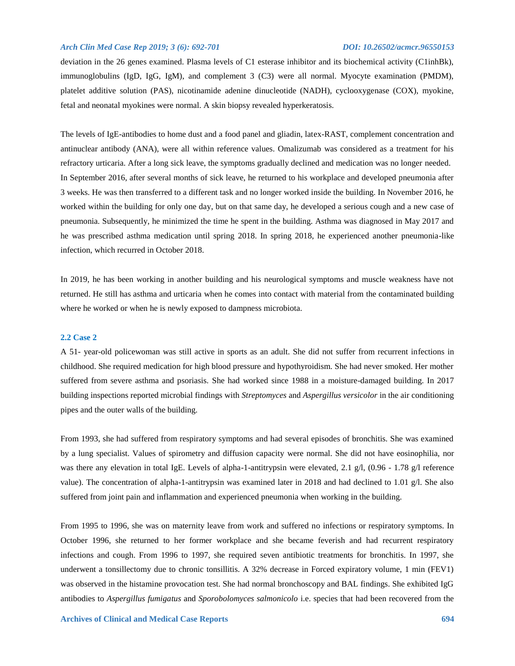deviation in the 26 genes examined. Plasma levels of C1 esterase inhibitor and its biochemical activity (C1inhBk), immunoglobulins (IgD, IgG, IgM), and complement 3 (C3) were all normal. Myocyte examination (PMDM), platelet additive solution (PAS), nicotinamide adenine dinucleotide (NADH), cyclooxygenase (COX), myokine, fetal and neonatal myokines were normal. A skin biopsy revealed hyperkeratosis.

The levels of IgE-antibodies to home dust and a food panel and gliadin, latex-RAST, complement concentration and antinuclear antibody (ANA), were all within reference values. Omalizumab was considered as a treatment for his refractory urticaria. After a long sick leave, the symptoms gradually declined and medication was no longer needed. In September 2016, after several months of sick leave, he returned to his workplace and developed pneumonia after 3 weeks. He was then transferred to a different task and no longer worked inside the building. In November 2016, he worked within the building for only one day, but on that same day, he developed a serious cough and a new case of pneumonia. Subsequently, he minimized the time he spent in the building. Asthma was diagnosed in May 2017 and he was prescribed asthma medication until spring 2018. In spring 2018, he experienced another pneumonia-like infection, which recurred in October 2018.

In 2019, he has been working in another building and his neurological symptoms and muscle weakness have not returned. He still has asthma and urticaria when he comes into contact with material from the contaminated building where he worked or when he is newly exposed to dampness microbiota.

# **2.2 Case 2**

A 51- year-old policewoman was still active in sports as an adult. She did not suffer from recurrent infections in childhood. She required medication for high blood pressure and hypothyroidism. She had never smoked. Her mother suffered from severe asthma and psoriasis. She had worked since 1988 in a moisture-damaged building. In 2017 building inspections reported microbial findings with *Streptomyces* and *Aspergillus versicolor* in the air conditioning pipes and the outer walls of the building.

From 1993, she had suffered from respiratory symptoms and had several episodes of bronchitis. She was examined by a lung specialist. Values of spirometry and diffusion capacity were normal. She did not have eosinophilia, nor was there any elevation in total IgE. Levels of alpha-1-antitrypsin were elevated, 2.1 g/l, (0.96 - 1.78 g/l reference value). The concentration of alpha-1-antitrypsin was examined later in 2018 and had declined to 1.01 g/l. She also suffered from joint pain and inflammation and experienced pneumonia when working in the building.

From 1995 to 1996, she was on maternity leave from work and suffered no infections or respiratory symptoms. In October 1996, she returned to her former workplace and she became feverish and had recurrent respiratory infections and cough. From 1996 to 1997, she required seven antibiotic treatments for bronchitis. In 1997, she underwent a tonsillectomy due to chronic tonsillitis. A 32% decrease in Forced expiratory volume, 1 min (FEV1) was observed in the histamine provocation test. She had normal bronchoscopy and BAL findings. She exhibited IgG antibodies to *Aspergillus fumigatus* and *Sporobolomyces salmonicolo* i.e. species that had been recovered from the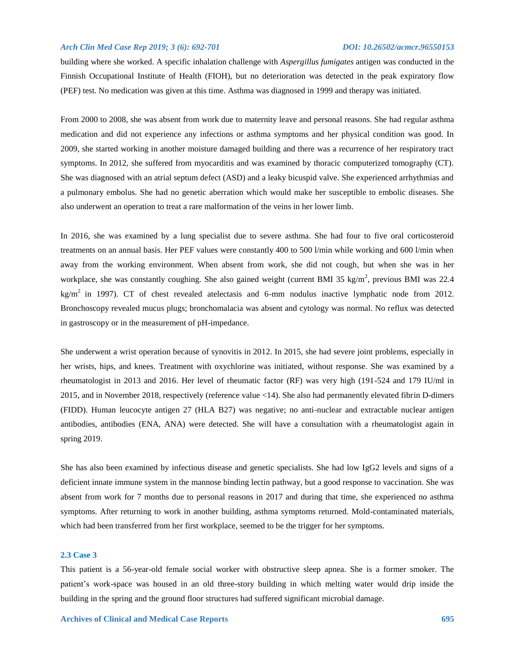building where she worked. A specific inhalation challenge with *Aspergillus fumigates* antigen was conducted in the Finnish Occupational Institute of Health (FIOH), but no deterioration was detected in the peak expiratory flow (PEF) test. No medication was given at this time. Asthma was diagnosed in 1999 and therapy was initiated.

From 2000 to 2008, she was absent from work due to maternity leave and personal reasons. She had regular asthma medication and did not experience any infections or asthma symptoms and her physical condition was good. In 2009, she started working in another moisture damaged building and there was a recurrence of her respiratory tract symptoms. In 2012, she suffered from myocarditis and was examined by thoracic computerized tomography (CT). She was diagnosed with an atrial septum defect (ASD) and a leaky bicuspid valve. She experienced arrhythmias and a pulmonary embolus. She had no genetic aberration which would make her susceptible to embolic diseases. She also underwent an operation to treat a rare malformation of the veins in her lower limb.

In 2016, she was examined by a lung specialist due to severe asthma. She had four to five oral corticosteroid treatments on an annual basis. Her PEF values were constantly 400 to 500 l/min while working and 600 l/min when away from the working environment. When absent from work, she did not cough, but when she was in her workplace, she was constantly coughing. She also gained weight (current BMI 35 kg/m<sup>2</sup>, previous BMI was 22.4  $kg/m<sup>2</sup>$  in 1997). CT of chest revealed atelectasis and 6-mm nodulus inactive lymphatic node from 2012. Bronchoscopy revealed mucus plugs; bronchomalacia was absent and cytology was normal. No reflux was detected in gastroscopy or in the measurement of pH-impedance.

She underwent a wrist operation because of synovitis in 2012. In 2015, she had severe joint problems, especially in her wrists, hips, and knees. Treatment with oxychlorine was initiated, without response. She was examined by a rheumatologist in 2013 and 2016. Her level of rheumatic factor (RF) was very high (191-524 and 179 IU/ml in 2015, and in November 2018, respectively (reference value <14). She also had permanently elevated fibrin D-dimers (FIDD). Human leucocyte antigen 27 (HLA B27) was negative; no anti-nuclear and extractable nuclear antigen antibodies, antibodies (ENA, ANA) were detected. She will have a consultation with a rheumatologist again in spring 2019.

She has also been examined by infectious disease and genetic specialists. She had low IgG2 levels and signs of a deficient innate immune system in the mannose binding lectin pathway, but a good response to vaccination. She was absent from work for 7 months due to personal reasons in 2017 and during that time, she experienced no asthma symptoms. After returning to work in another building, asthma symptoms returned. Mold-contaminated materials, which had been transferred from her first workplace, seemed to be the trigger for her symptoms.

# **2.3 Case 3**

This patient is a 56-year-old female social worker with obstructive sleep apnea. She is a former smoker. The patient's work-space was housed in an old three-story building in which melting water would drip inside the building in the spring and the ground floor structures had suffered significant microbial damage.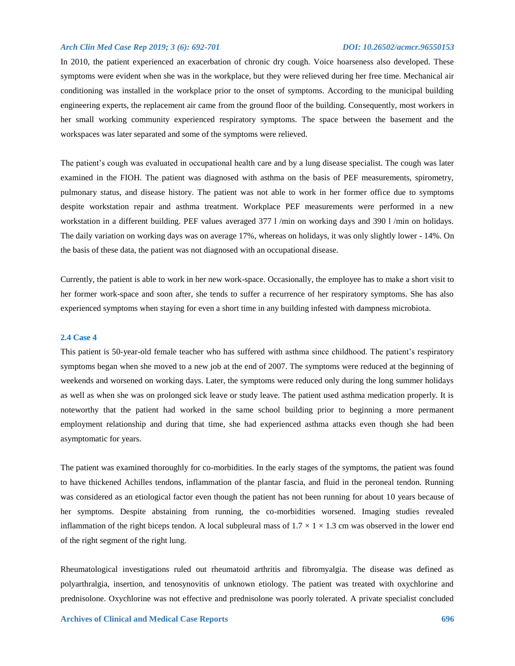In 2010, the patient experienced an exacerbation of chronic dry cough. Voice hoarseness also developed. These symptoms were evident when she was in the workplace, but they were relieved during her free time. Mechanical air conditioning was installed in the workplace prior to the onset of symptoms. According to the municipal building engineering experts, the replacement air came from the ground floor of the building. Consequently, most workers in her small working community experienced respiratory symptoms. The space between the basement and the workspaces was later separated and some of the symptoms were relieved.

The patient's cough was evaluated in occupational health care and by a lung disease specialist. The cough was later examined in the FIOH. The patient was diagnosed with asthma on the basis of PEF measurements, spirometry, pulmonary status, and disease history. The patient was not able to work in her former office due to symptoms despite workstation repair and asthma treatment. Workplace PEF measurements were performed in a new workstation in a different building. PEF values averaged 377 l /min on working days and 390 l /min on holidays. The daily variation on working days was on average 17%, whereas on holidays, it was only slightly lower - 14%. On the basis of these data, the patient was not diagnosed with an occupational disease.

Currently, the patient is able to work in her new work-space. Occasionally, the employee has to make a short visit to her former work-space and soon after, she tends to suffer a recurrence of her respiratory symptoms. She has also experienced symptoms when staying for even a short time in any building infested with dampness microbiota.

### **2.4 Case 4**

This patient is 50-year-old female teacher who has suffered with asthma since childhood. The patient's respiratory symptoms began when she moved to a new job at the end of 2007. The symptoms were reduced at the beginning of weekends and worsened on working days. Later, the symptoms were reduced only during the long summer holidays as well as when she was on prolonged sick leave or study leave. The patient used asthma medication properly. It is noteworthy that the patient had worked in the same school building prior to beginning a more permanent employment relationship and during that time, she had experienced asthma attacks even though she had been asymptomatic for years.

The patient was examined thoroughly for co-morbidities. In the early stages of the symptoms, the patient was found to have thickened Achilles tendons, inflammation of the plantar fascia, and fluid in the peroneal tendon. Running was considered as an etiological factor even though the patient has not been running for about 10 years because of her symptoms. Despite abstaining from running, the co-morbidities worsened. Imaging studies revealed inflammation of the right biceps tendon. A local subpleural mass of  $1.7 \times 1 \times 1.3$  cm was observed in the lower end of the right segment of the right lung.

Rheumatological investigations ruled out rheumatoid arthritis and fibromyalgia. The disease was defined as polyarthralgia, insertion, and tenosynovitis of unknown etiology. The patient was treated with oxychlorine and prednisolone. Oxychlorine was not effective and prednisolone was poorly tolerated. A private specialist concluded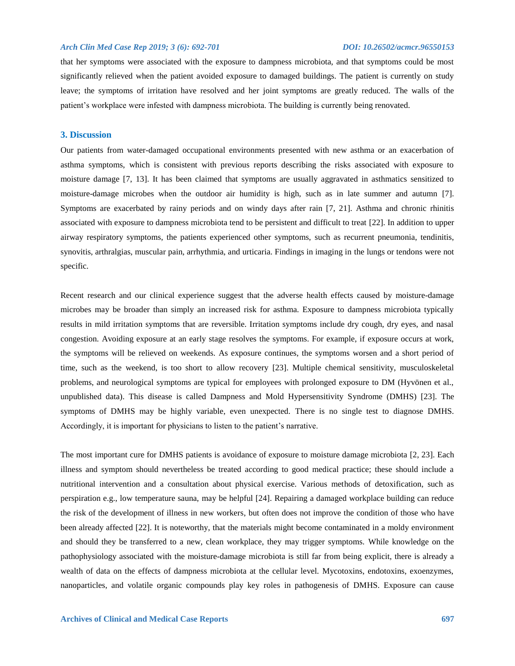that her symptoms were associated with the exposure to dampness microbiota, and that symptoms could be most significantly relieved when the patient avoided exposure to damaged buildings. The patient is currently on study leave; the symptoms of irritation have resolved and her joint symptoms are greatly reduced. The walls of the patient's workplace were infested with dampness microbiota. The building is currently being renovated.

# **3. Discussion**

Our patients from water-damaged occupational environments presented with new asthma or an exacerbation of asthma symptoms, which is consistent with previous reports describing the risks associated with exposure to moisture damage [7, 13]. It has been claimed that symptoms are usually aggravated in asthmatics sensitized to moisture-damage microbes when the outdoor air humidity is high, such as in late summer and autumn [7]. Symptoms are exacerbated by rainy periods and on windy days after rain [7, 21]. Asthma and chronic rhinitis associated with exposure to dampness microbiota tend to be persistent and difficult to treat [22]. In addition to upper airway respiratory symptoms, the patients experienced other symptoms, such as recurrent pneumonia, tendinitis, synovitis, arthralgias, muscular pain, arrhythmia, and urticaria. Findings in imaging in the lungs or tendons were not specific.

Recent research and our clinical experience suggest that the adverse health effects caused by moisture-damage microbes may be broader than simply an increased risk for asthma. Exposure to dampness microbiota typically results in mild irritation symptoms that are reversible. Irritation symptoms include dry cough, dry eyes, and nasal congestion. Avoiding exposure at an early stage resolves the symptoms. For example, if exposure occurs at work, the symptoms will be relieved on weekends. As exposure continues, the symptoms worsen and a short period of time, such as the weekend, is too short to allow recovery [23]. Multiple chemical sensitivity, musculoskeletal problems, and neurological symptoms are typical for employees with prolonged exposure to DM (Hyvönen et al., unpublished data). This disease is called Dampness and Mold Hypersensitivity Syndrome (DMHS) [23]. The symptoms of DMHS may be highly variable, even unexpected. There is no single test to diagnose DMHS. Accordingly, it is important for physicians to listen to the patient's narrative.

The most important cure for DMHS patients is avoidance of exposure to moisture damage microbiota [2, 23]. Each illness and symptom should nevertheless be treated according to good medical practice; these should include a nutritional intervention and a consultation about physical exercise. Various methods of detoxification, such as perspiration e.g., low temperature sauna, may be helpful [24]. Repairing a damaged workplace building can reduce the risk of the development of illness in new workers, but often does not improve the condition of those who have been already affected [22]. It is noteworthy, that the materials might become contaminated in a moldy environment and should they be transferred to a new, clean workplace, they may trigger symptoms. While knowledge on the pathophysiology associated with the moisture-damage microbiota is still far from being explicit, there is already a wealth of data on the effects of dampness microbiota at the cellular level. Mycotoxins, endotoxins, exoenzymes, nanoparticles, and volatile organic compounds play key roles in pathogenesis of DMHS. Exposure can cause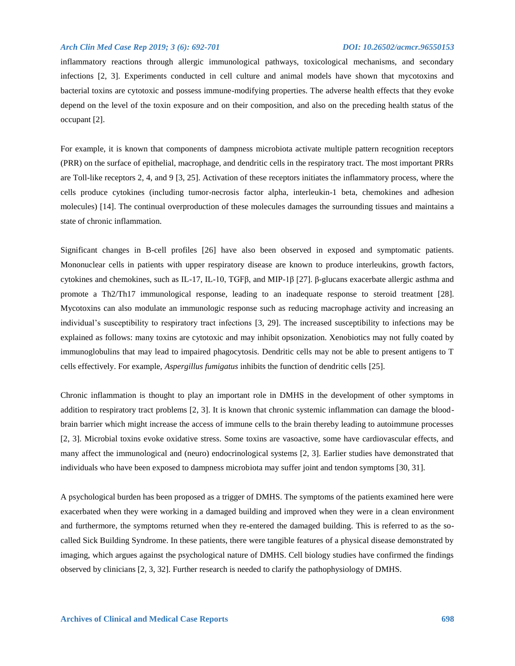inflammatory reactions through allergic immunological pathways, toxicological mechanisms, and secondary infections [2, 3]. Experiments conducted in cell culture and animal models have shown that mycotoxins and bacterial toxins are cytotoxic and possess immune-modifying properties. The adverse health effects that they evoke depend on the level of the toxin exposure and on their composition, and also on the preceding health status of the occupant [2].

For example, it is known that components of dampness microbiota activate multiple pattern recognition receptors (PRR) on the surface of epithelial, macrophage, and dendritic cells in the respiratory tract. The most important PRRs are Toll-like receptors 2, 4, and 9 [3, 25]. Activation of these receptors initiates the inflammatory process, where the cells produce cytokines (including tumor-necrosis factor alpha, interleukin-1 beta, chemokines and adhesion molecules) [14]. The continual overproduction of these molecules damages the surrounding tissues and maintains a state of chronic inflammation.

Significant changes in B-cell profiles [26] have also been observed in exposed and symptomatic patients. Mononuclear cells in patients with upper respiratory disease are known to produce interleukins, growth factors, cytokines and chemokines, such as IL-17, IL-10, TGFβ, and MIP-1β [27]. β-glucans exacerbate allergic asthma and promote a Th2/Th17 immunological response, leading to an inadequate response to steroid treatment [28]. Mycotoxins can also modulate an immunologic response such as reducing macrophage activity and increasing an individual's susceptibility to respiratory tract infections [3, 29]. The increased susceptibility to infections may be explained as follows: many toxins are cytotoxic and may inhibit opsonization. Xenobiotics may not fully coated by immunoglobulins that may lead to impaired phagocytosis. Dendritic cells may not be able to present antigens to T cells effectively. For example, *Aspergillus fumigatus* inhibits the function of dendritic cells [25].

Chronic inflammation is thought to play an important role in DMHS in the development of other symptoms in addition to respiratory tract problems [2, 3]. It is known that chronic systemic inflammation can damage the bloodbrain barrier which might increase the access of immune cells to the brain thereby leading to autoimmune processes [2, 3]. Microbial toxins evoke oxidative stress. Some toxins are vasoactive, some have cardiovascular effects, and many affect the immunological and (neuro) endocrinological systems [2, 3]. Earlier studies have demonstrated that individuals who have been exposed to dampness microbiota may suffer joint and tendon symptoms [30, 31].

A psychological burden has been proposed as a trigger of DMHS. The symptoms of the patients examined here were exacerbated when they were working in a damaged building and improved when they were in a clean environment and furthermore, the symptoms returned when they re-entered the damaged building. This is referred to as the socalled Sick Building Syndrome. In these patients, there were tangible features of a physical disease demonstrated by imaging, which argues against the psychological nature of DMHS. Cell biology studies have confirmed the findings observed by clinicians [2, 3, 32]. Further research is needed to clarify the pathophysiology of DMHS.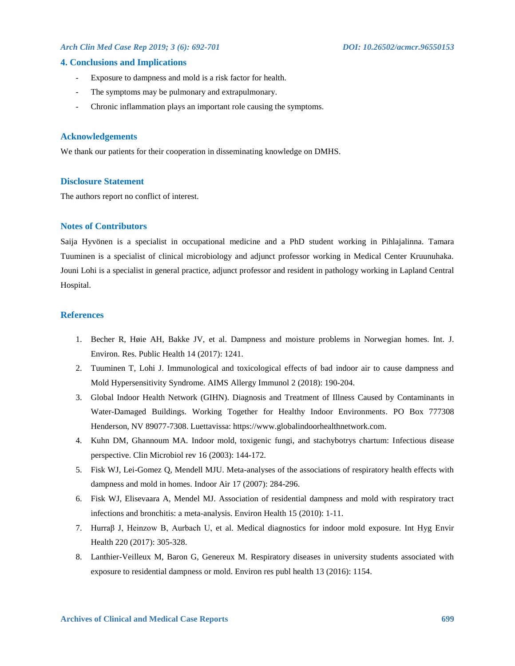### **4. Conclusions and Implications**

- Exposure to dampness and mold is a risk factor for health.
- The symptoms may be pulmonary and extrapulmonary.
- Chronic inflammation plays an important role causing the symptoms.

### **Acknowledgements**

We thank our patients for their cooperation in disseminating knowledge on DMHS.

### **Disclosure Statement**

The authors report no conflict of interest.

# **Notes of Contributors**

Saija Hyvönen is a specialist in occupational medicine and a PhD student working in Pihlajalinna. Tamara Tuuminen is a specialist of clinical microbiology and adjunct professor working in Medical Center Kruunuhaka. Jouni Lohi is a specialist in general practice, adjunct professor and resident in pathology working in Lapland Central Hospital.

### **References**

- 1. Becher R, Høie AH, Bakke JV, et al. Dampness and moisture problems in Norwegian homes. Int. J. Environ. Res. Public Health 14 (2017): 1241.
- 2. Tuuminen T, Lohi J. Immunological and toxicological effects of bad indoor air to cause dampness and Mold Hypersensitivity Syndrome. AIMS Allergy Immunol 2 (2018): 190-204.
- 3. Global Indoor Health Network (GIHN). Diagnosis and Treatment of Illness Caused by Contaminants in Water-Damaged Buildings. Working Together for Healthy Indoor Environments. PO Box 777308 Henderson, NV 89077-7308. Luettavissa: https://www.globalindoorhealthnetwork.com.
- 4. Kuhn DM, Ghannoum MA. Indoor mold, toxigenic fungi, and stachybotrys chartum: Infectious disease perspective. Clin Microbiol rev 16 (2003): 144-172.
- 5. Fisk WJ, Lei-Gomez Q, Mendell MJU. Meta-analyses of the associations of respiratory health effects with dampness and mold in homes. Indoor Air 17 (2007): 284-296.
- 6. Fisk WJ, Elisevaara A, Mendel MJ. Association of residential dampness and mold with respiratory tract infections and bronchitis: a meta-analysis. Environ Health 15 (2010): 1-11.
- 7. Hurraβ J, Heinzow B, Aurbach U, et al. Medical diagnostics for indoor mold exposure. Int Hyg Envir Health 220 (2017): 305-328.
- 8. Lanthier-Veilleux M, Baron G, Genereux M. Respiratory diseases in university students associated with exposure to residential dampness or mold. Environ res publ health 13 (2016): 1154.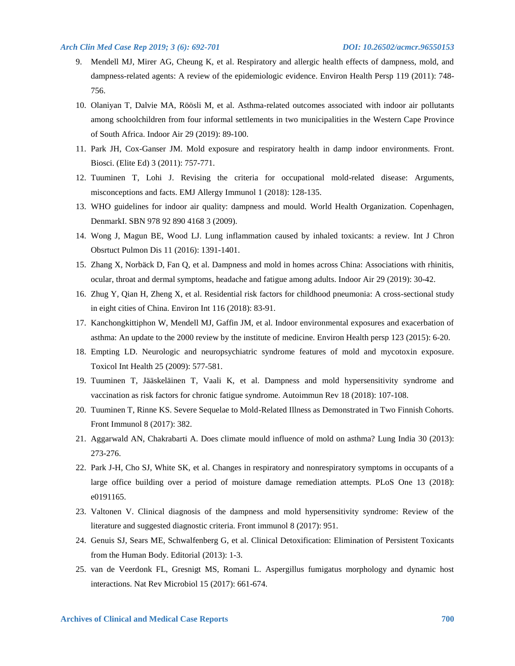- 9. Mendell MJ, Mirer AG, Cheung K, et al. Respiratory and allergic health effects of dampness, mold, and dampness-related agents: A review of the epidemiologic evidence. Environ Health Persp 119 (2011): 748- 756.
- 10. Olaniyan T, Dalvie MA, Röösli M, et al. Asthma-related outcomes associated with indoor air pollutants among schoolchildren from four informal settlements in two municipalities in the Western Cape Province of South Africa. Indoor Air 29 (2019): 89-100.
- 11. Park JH, Cox-Ganser JM. Mold exposure and respiratory health in damp indoor environments. Front. Biosci. (Elite Ed) 3 (2011): 757-771.
- 12. Tuuminen T, Lohi J. Revising the criteria for occupational mold-related disease: Arguments, misconceptions and facts. EMJ Allergy Immunol 1 (2018): 128-135.
- 13. WHO guidelines for indoor air quality: dampness and mould. World Health Organization. Copenhagen, DenmarkI. SBN 978 92 890 4168 3 (2009).
- 14. Wong J, Magun BE, Wood LJ. Lung inflammation caused by inhaled toxicants: a review. Int J Chron Obsrtuct Pulmon Dis 11 (2016): 1391-1401.
- 15. Zhang X, Norbäck D, Fan Q, et al. Dampness and mold in homes across China: Associations with rhinitis, ocular, throat and dermal symptoms, headache and fatigue among adults. Indoor Air 29 (2019): 30-42.
- 16. Zhug Y, Qian H, Zheng X, et al. Residential risk factors for childhood pneumonia: A cross-sectional study in eight cities of China. Environ Int 116 (2018): 83-91.
- 17. Kanchongkittiphon W, Mendell MJ, Gaffin JM, et al. Indoor environmental exposures and exacerbation of asthma: An update to the 2000 review by the institute of medicine. Environ Health persp 123 (2015): 6-20.
- 18. Empting LD. Neurologic and neuropsychiatric syndrome features of mold and mycotoxin exposure. Toxicol Int Health 25 (2009): 577-581.
- 19. Tuuminen T, Jääskeläinen T, Vaali K, et al. Dampness and mold hypersensitivity syndrome and vaccination as risk factors for chronic fatigue syndrome. Autoimmun Rev 18 (2018): 107-108.
- 20. Tuuminen T, Rinne KS. Severe Sequelae to Mold-Related Illness as Demonstrated in Two Finnish Cohorts. Front Immunol 8 (2017): 382.
- 21. Aggarwald AN, Chakrabarti A. Does climate mould influence of mold on asthma? Lung India 30 (2013): 273-276.
- 22. Park J-H, Cho SJ, White SK, et al. Changes in respiratory and nonrespiratory symptoms in occupants of a large office building over a period of moisture damage remediation attempts. PLoS One 13 (2018): e0191165.
- 23. Valtonen V. Clinical diagnosis of the dampness and mold hypersensitivity syndrome: Review of the literature and suggested diagnostic criteria. Front immunol 8 (2017): 951.
- 24. Genuis SJ, Sears ME, Schwalfenberg G, et al. Clinical Detoxification: Elimination of Persistent Toxicants from the Human Body. Editorial (2013): 1-3.
- 25. van de Veerdonk FL, Gresnigt MS, Romani L. Aspergillus fumigatus morphology and dynamic host interactions. Nat Rev Microbiol 15 (2017): 661-674.